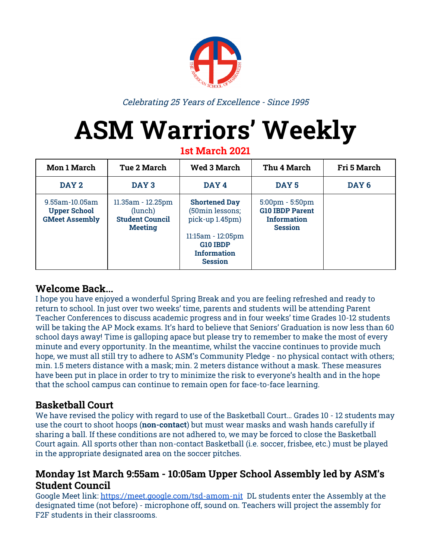

Celebrating 25 Years of Excellence - Since 1995

# **ASM Warriors' Weekly**

**1st March 2021**

| <b>Mon 1 March</b>                                             | <b>Tue 2 March</b>                                                       | <b>Wed 3 March</b>                                                                                                                           | Thu 4 March                                                                                         | <b>Fri 5 March</b> |
|----------------------------------------------------------------|--------------------------------------------------------------------------|----------------------------------------------------------------------------------------------------------------------------------------------|-----------------------------------------------------------------------------------------------------|--------------------|
| DAY 2                                                          | DAY <sub>3</sub>                                                         | DAY 4                                                                                                                                        | DAY <sub>5</sub>                                                                                    | DAY <sub>6</sub>   |
| 9.55am-10.05am<br><b>Upper School</b><br><b>GMeet Assembly</b> | 11.35am - 12.25pm<br>(lunch)<br><b>Student Council</b><br><b>Meeting</b> | <b>Shortened Day</b><br>(50min lessons;<br>pick-up 1.45pm)<br>$11:15am - 12:05pm$<br><b>G10 IBDP</b><br><b>Information</b><br><b>Session</b> | $5:00 \text{pm} - 5:50 \text{pm}$<br><b>G10 IBDP Parent</b><br><b>Information</b><br><b>Session</b> |                    |

#### **Welcome Back...**

I hope you have enjoyed a wonderful Spring Break and you are feeling refreshed and ready to return to school. In just over two weeks' time, parents and students will be attending Parent Teacher Conferences to discuss academic progress and in four weeks' time Grades 10-12 students will be taking the AP Mock exams. It's hard to believe that Seniors' Graduation is now less than 60 school days away! Time is galloping apace but please try to remember to make the most of every minute and every opportunity. In the meantime, whilst the vaccine continues to provide much hope, we must all still try to adhere to ASM's Community Pledge - no physical contact with others; min. 1.5 meters distance with a mask; min. 2 meters distance without a mask. These measures have been put in place in order to try to minimize the risk to everyone's health and in the hope that the school campus can continue to remain open for face-to-face learning.

## **Basketball Court**

We have revised the policy with regard to use of the Basketball Court… Grades 10 - 12 students may use the court to shoot hoops (**non-contact**) but must wear masks and wash hands carefully if sharing a ball. If these conditions are not adhered to, we may be forced to close the Basketball Court again. All sports other than non-contact Basketball (i.e. soccer, frisbee, etc.) must be played in the appropriate designated area on the soccer pitches.

#### **Monday 1st March 9:55am - 10:05am Upper School Assembly led by ASM's Student Council**

Google Meet link: <https://meet.google.com/tsd-amom-nit> DL students enter the Assembly at the designated time (not before) - microphone off, sound on. Teachers will project the assembly for F2F students in their classrooms.